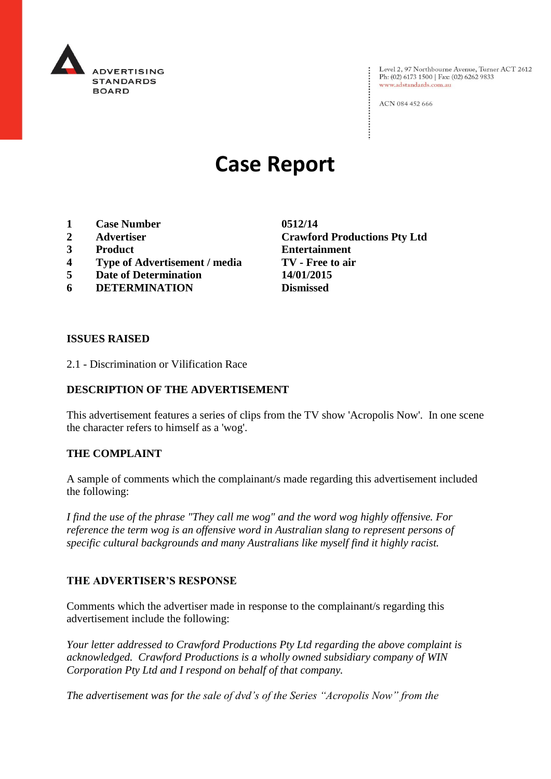

Level 2, 97 Northbourne Avenue, Turner ACT 2612<br>Ph: (02) 6173 1500 | Fax: (02) 6262 9833 www.adstandards.com.au

ACN 084 452 666

# **Case Report**

- **1 Case Number 0512/14**
- 
- 
- **4 Type of Advertisement / media TV - Free to air**
- **5 Date of Determination 14/01/2015**
- **6 DETERMINATION Dismissed**

**2 Advertiser Crawford Productions Pty Ltd 3 Product Entertainment**

#### **ISSUES RAISED**

2.1 - Discrimination or Vilification Race

## **DESCRIPTION OF THE ADVERTISEMENT**

This advertisement features a series of clips from the TV show 'Acropolis Now'. In one scene the character refers to himself as a 'wog'.

### **THE COMPLAINT**

A sample of comments which the complainant/s made regarding this advertisement included the following:

*I find the use of the phrase "They call me wog" and the word wog highly offensive. For reference the term wog is an offensive word in Australian slang to represent persons of specific cultural backgrounds and many Australians like myself find it highly racist.*

### **THE ADVERTISER'S RESPONSE**

Comments which the advertiser made in response to the complainant/s regarding this advertisement include the following:

*Your letter addressed to Crawford Productions Pty Ltd regarding the above complaint is acknowledged. Crawford Productions is a wholly owned subsidiary company of WIN Corporation Pty Ltd and I respond on behalf of that company.*

*The advertisement was for the sale of dvd's of the Series "Acropolis Now" from the*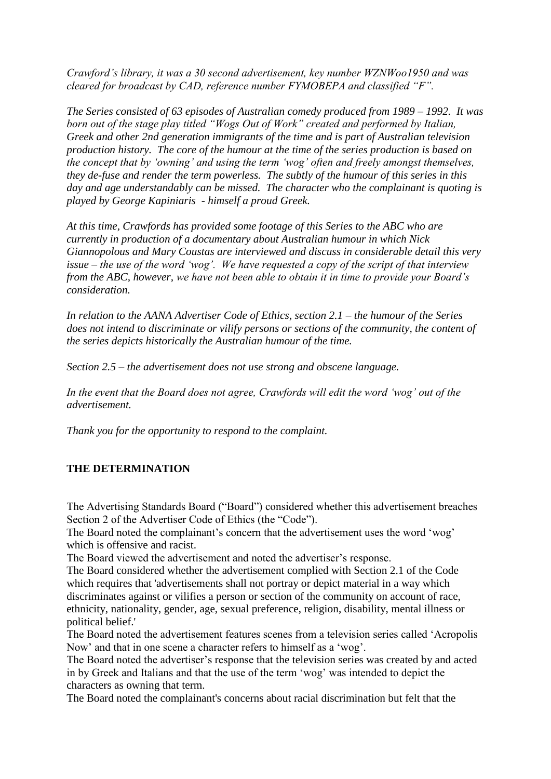*Crawford's library, it was a 30 second advertisement, key number WZNWoo1950 and was cleared for broadcast by CAD, reference number FYMOBEPA and classified "F".*

*The Series consisted of 63 episodes of Australian comedy produced from 1989 – 1992. It was born out of the stage play titled "Wogs Out of Work" created and performed by Italian, Greek and other 2nd generation immigrants of the time and is part of Australian television production history. The core of the humour at the time of the series production is based on the concept that by 'owning' and using the term 'wog' often and freely amongst themselves, they de-fuse and render the term powerless. The subtly of the humour of this series in this day and age understandably can be missed. The character who the complainant is quoting is played by George Kapiniaris - himself a proud Greek.*

*At this time, Crawfords has provided some footage of this Series to the ABC who are currently in production of a documentary about Australian humour in which Nick Giannopolous and Mary Coustas are interviewed and discuss in considerable detail this very issue – the use of the word 'wog'. We have requested a copy of the script of that interview from the ABC, however, we have not been able to obtain it in time to provide your Board's consideration.*

*In relation to the AANA Advertiser Code of Ethics, section 2.1 – the humour of the Series does not intend to discriminate or vilify persons or sections of the community, the content of the series depicts historically the Australian humour of the time.*

*Section 2.5 – the advertisement does not use strong and obscene language.*

*In the event that the Board does not agree, Crawfords will edit the word 'wog' out of the advertisement.*

*Thank you for the opportunity to respond to the complaint.*

### **THE DETERMINATION**

The Advertising Standards Board ("Board") considered whether this advertisement breaches Section 2 of the Advertiser Code of Ethics (the "Code").

The Board noted the complainant's concern that the advertisement uses the word 'wog' which is offensive and racist.

The Board viewed the advertisement and noted the advertiser's response.

The Board considered whether the advertisement complied with Section 2.1 of the Code which requires that 'advertisements shall not portray or depict material in a way which discriminates against or vilifies a person or section of the community on account of race, ethnicity, nationality, gender, age, sexual preference, religion, disability, mental illness or political belief.'

The Board noted the advertisement features scenes from a television series called 'Acropolis Now' and that in one scene a character refers to himself as a 'wog'.

The Board noted the advertiser's response that the television series was created by and acted in by Greek and Italians and that the use of the term 'wog' was intended to depict the characters as owning that term.

The Board noted the complainant's concerns about racial discrimination but felt that the